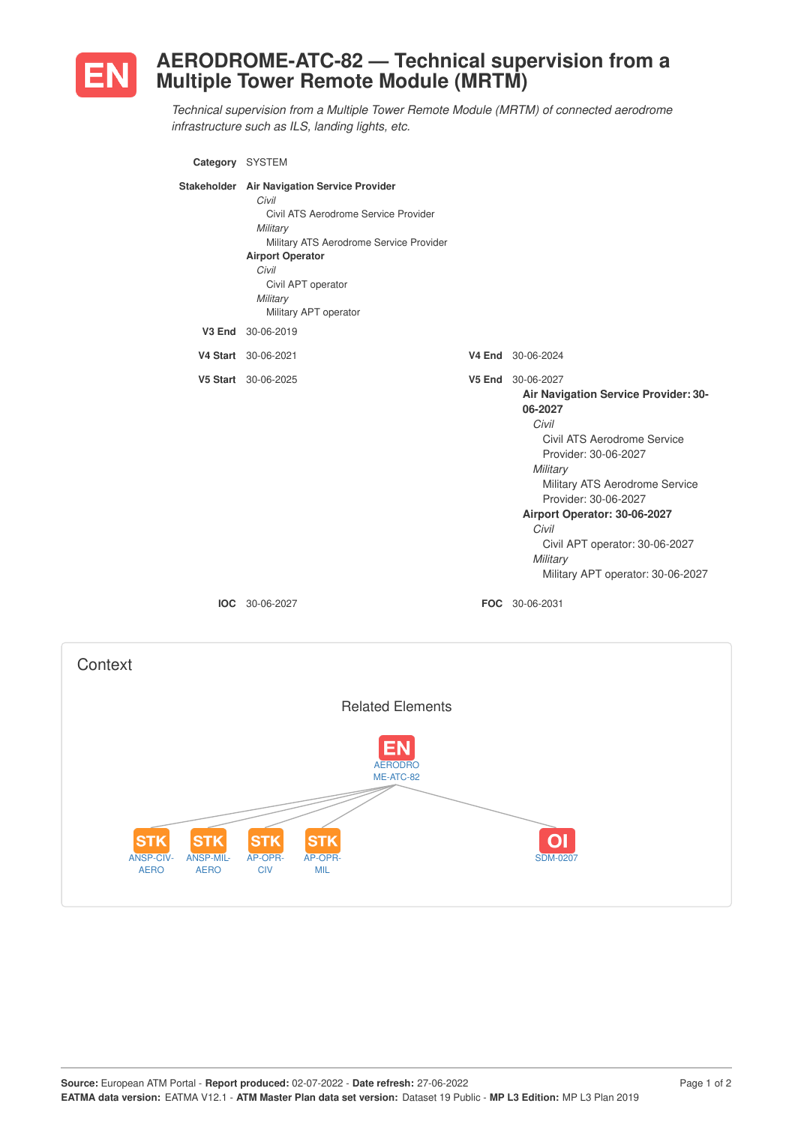

## **AERODROME-ATC-82 — Technical supervision from a Multiple Tower Remote Module (MRTM)**

*Technical supervision from a Multiple Tower Remote Module (MRTM) of connected aerodrome infrastructure such as ILS, landing lights, etc.*